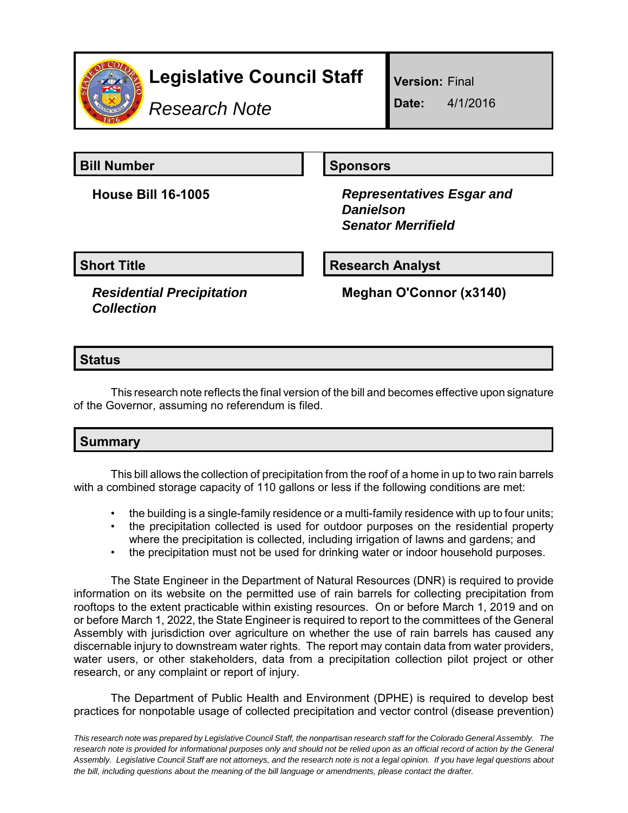

# **Legislative Council Staff**

*Research Note*

**Version:** Final

**Date:** 4/1/2016

**Bill Number Sponsors** 

**House Bill 16-1005** *Representatives Esgar and Danielson Senator Merrifield*

**Short Title Community Community Community Research Analyst** 

*Residential Precipitation Collection*

**Meghan O'Connor (x3140)**

## **Status**

This research note reflects the final version of the bill and becomes effective upon signature of the Governor, assuming no referendum is filed.

# **Summary**

This bill allows the collection of precipitation from the roof of a home in up to two rain barrels with a combined storage capacity of 110 gallons or less if the following conditions are met:

- the building is a single-family residence or a multi-family residence with up to four units;
- the precipitation collected is used for outdoor purposes on the residential property where the precipitation is collected, including irrigation of lawns and gardens; and
- the precipitation must not be used for drinking water or indoor household purposes.

The State Engineer in the Department of Natural Resources (DNR) is required to provide information on its website on the permitted use of rain barrels for collecting precipitation from rooftops to the extent practicable within existing resources. On or before March 1, 2019 and on or before March 1, 2022, the State Engineer is required to report to the committees of the General Assembly with jurisdiction over agriculture on whether the use of rain barrels has caused any discernable injury to downstream water rights. The report may contain data from water providers, water users, or other stakeholders, data from a precipitation collection pilot project or other research, or any complaint or report of injury.

The Department of Public Health and Environment (DPHE) is required to develop best practices for nonpotable usage of collected precipitation and vector control (disease prevention)

*This research note was prepared by Legislative Council Staff, the nonpartisan research staff for the Colorado General Assembly. The research note is provided for informational purposes only and should not be relied upon as an official record of action by the General Assembly. Legislative Council Staff are not attorneys, and the research note is not a legal opinion. If you have legal questions about the bill, including questions about the meaning of the bill language or amendments, please contact the drafter.*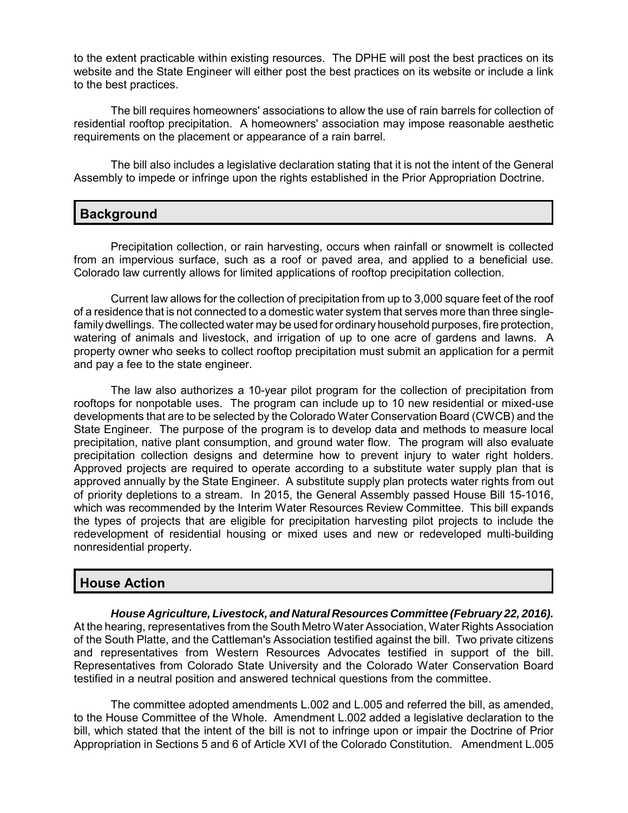to the extent practicable within existing resources. The DPHE will post the best practices on its website and the State Engineer will either post the best practices on its website or include a link to the best practices.

The bill requires homeowners' associations to allow the use of rain barrels for collection of residential rooftop precipitation. A homeowners' association may impose reasonable aesthetic requirements on the placement or appearance of a rain barrel.

The bill also includes a legislative declaration stating that it is not the intent of the General Assembly to impede or infringe upon the rights established in the Prior Appropriation Doctrine.

### **Background**

Precipitation collection, or rain harvesting, occurs when rainfall or snowmelt is collected from an impervious surface, such as a roof or paved area, and applied to a beneficial use. Colorado law currently allows for limited applications of rooftop precipitation collection.

Current law allows for the collection of precipitation from up to 3,000 square feet of the roof of a residence that is not connected to a domestic water system that serves more than three singlefamily dwellings. The collected water may be used for ordinary household purposes, fire protection, watering of animals and livestock, and irrigation of up to one acre of gardens and lawns. A property owner who seeks to collect rooftop precipitation must submit an application for a permit and pay a fee to the state engineer.

The law also authorizes a 10-year pilot program for the collection of precipitation from rooftops for nonpotable uses. The program can include up to 10 new residential or mixed-use developments that are to be selected by the Colorado Water Conservation Board (CWCB) and the State Engineer. The purpose of the program is to develop data and methods to measure local precipitation, native plant consumption, and ground water flow. The program will also evaluate precipitation collection designs and determine how to prevent injury to water right holders. Approved projects are required to operate according to a substitute water supply plan that is approved annually by the State Engineer. A substitute supply plan protects water rights from out of priority depletions to a stream. In 2015, the General Assembly passed House Bill 15-1016, which was recommended by the Interim Water Resources Review Committee. This bill expands the types of projects that are eligible for precipitation harvesting pilot projects to include the redevelopment of residential housing or mixed uses and new or redeveloped multi-building nonresidential property.

#### **House Action**

*House Agriculture, Livestock, and Natural Resources Committee (February 22, 2016).* At the hearing, representatives from the South Metro Water Association, Water Rights Association of the South Platte, and the Cattleman's Association testified against the bill. Two private citizens and representatives from Western Resources Advocates testified in support of the bill. Representatives from Colorado State University and the Colorado Water Conservation Board testified in a neutral position and answered technical questions from the committee.

The committee adopted amendments L.002 and L.005 and referred the bill, as amended, to the House Committee of the Whole. Amendment L.002 added a legislative declaration to the bill, which stated that the intent of the bill is not to infringe upon or impair the Doctrine of Prior Appropriation in Sections 5 and 6 of Article XVI of the Colorado Constitution. Amendment L.005